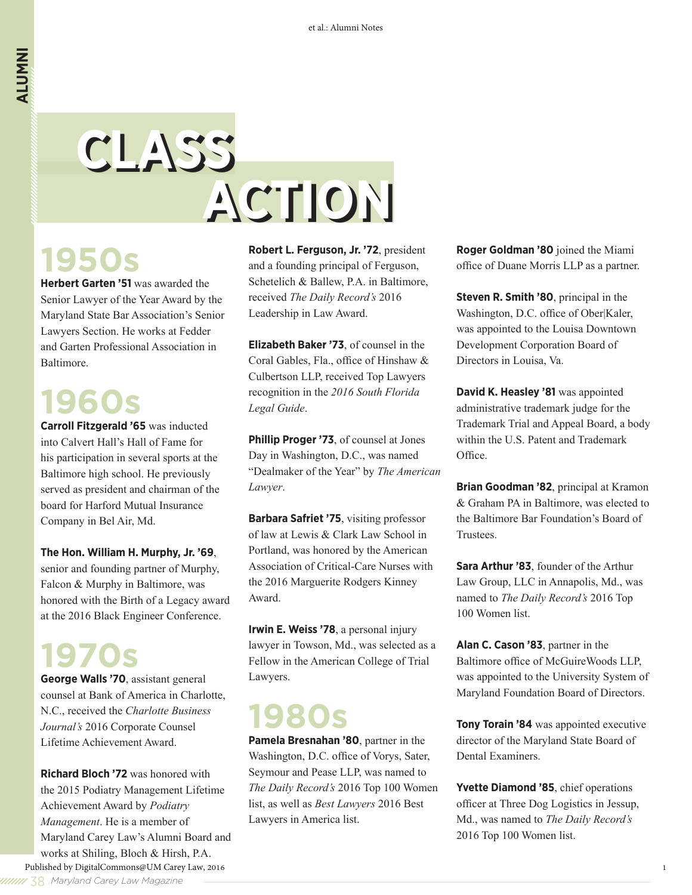# **CLASS CLASS ACTION ACTION**

# **1950s**

**Herbert Garten '51** was awarded the Senior Lawyer of the Year Award by the Maryland State Bar Association's Senior Lawyers Section. He works at Fedder and Garten Professional Association in Baltimore.

### **1960s**

**Carroll Fitzgerald '65** was inducted into Calvert Hall's Hall of Fame for his participation in several sports at the Baltimore high school. He previously served as president and chairman of the board for Harford Mutual Insurance Company in Bel Air, Md.

### **The Hon. William H. Murphy, Jr. '69**,

senior and founding partner of Murphy, Falcon & Murphy in Baltimore, was honored with the Birth of a Legacy award at the 2016 Black Engineer Conference.

### **1970s**

**George Walls '70**, assistant general counsel at Bank of America in Charlotte, N.C., received the *Charlotte Business Journal's* 2016 Corporate Counsel Lifetime Achievement Award.

**Richard Bloch '72** was honored with the 2015 Podiatry Management Lifetime Achievement Award by *Podiatry Management*. He is a member of Maryland Carey Law's Alumni Board and works at Shiling, Bloch & Hirsh, P.A. Published by DigitalCommons@UM Carey Law, 2016

**Robert L. Ferguson, Jr. '72**, president and a founding principal of Ferguson, Schetelich & Ballew, P.A. in Baltimore, received *The Daily Record's* 2016 Leadership in Law Award.

**Elizabeth Baker '73**, of counsel in the Coral Gables, Fla., office of Hinshaw & Culbertson LLP, received Top Lawyers recognition in the *2016 South Florida Legal Guide*.

**Phillip Proger '73**, of counsel at Jones Day in Washington, D.C., was named "Dealmaker of the Year" by *The American Lawyer*.

**Barbara Safriet '75**, visiting professor of law at Lewis & Clark Law School in Portland, was honored by the American Association of Critical-Care Nurses with the 2016 Marguerite Rodgers Kinney Award.

**Irwin E. Weiss '78**, a personal injury lawyer in Towson, Md., was selected as a Fellow in the American College of Trial Lawyers.

# **1980s**

**Pamela Bresnahan '80**, partner in the Washington, D.C. office of Vorys, Sater, Seymour and Pease LLP, was named to *The Daily Record's* 2016 Top 100 Women list, as well as *Best Lawyers* 2016 Best Lawyers in America list.

**Roger Goldman '80** joined the Miami office of Duane Morris LLP as a partner.

**Steven R. Smith '80**, principal in the Washington, D.C. office of Ober|Kaler, was appointed to the Louisa Downtown Development Corporation Board of Directors in Louisa, Va.

**David K. Heasley '81** was appointed administrative trademark judge for the Trademark Trial and Appeal Board, a body within the U.S. Patent and Trademark Office.

**Brian Goodman '82**, principal at Kramon & Graham PA in Baltimore, was elected to the Baltimore Bar Foundation's Board of Trustees.

**Sara Arthur '83**, founder of the Arthur Law Group, LLC in Annapolis, Md., was named to *The Daily Record's* 2016 Top 100 Women list.

**Alan C. Cason '83**, partner in the Baltimore office of McGuireWoods LLP, was appointed to the University System of Maryland Foundation Board of Directors.

**Tony Torain '84** was appointed executive director of the Maryland State Board of Dental Examiners.

**Yvette Diamond '85**, chief operations officer at Three Dog Logistics in Jessup, Md., was named to *The Daily Record's* 2016 Top 100 Women list.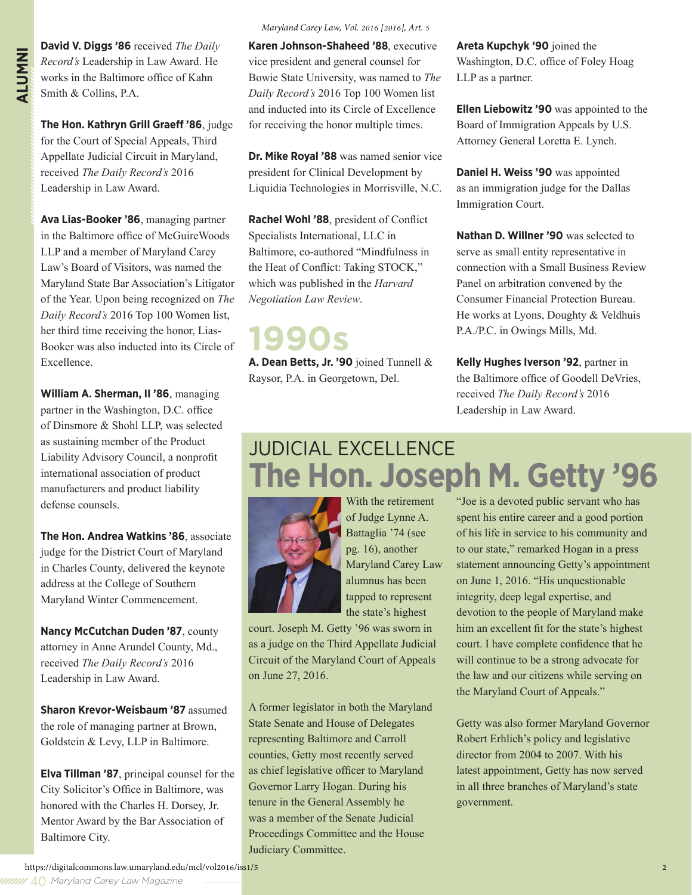**ALUMNINION V. Diggs '86** received *The Daily Record's* Leadership in Law Award. He works in the Baltimore office of Kahn Smith & Collins, P.A. *Record's* Leadership in Law Award. He works in the Baltimore office of Kahn Smith & Collins, P.A.

> **The Hon. Kathryn Grill Graeff '86**, judge for the Court of Special Appeals, Third Appellate Judicial Circuit in Maryland, received *The Daily Record's* 2016 Leadership in Law Award.

**Ava Lias-Booker '86**, managing partner in the Baltimore office of McGuireWoods LLP and a member of Maryland Carey Law's Board of Visitors, was named the Maryland State Bar Association's Litigator of the Year. Upon being recognized on *The Daily Record's* 2016 Top 100 Women list, her third time receiving the honor, Lias-Booker was also inducted into its Circle of Excellence.

**William A. Sherman, II '86**, managing partner in the Washington, D.C. office of Dinsmore & Shohl LLP, was selected as sustaining member of the Product Liability Advisory Council, a nonprofit international association of product manufacturers and product liability defense counsels.

**The Hon. Andrea Watkins '86**, associate judge for the District Court of Maryland in Charles County, delivered the keynote address at the College of Southern Maryland Winter Commencement.

**Nancy McCutchan Duden '87**, county attorney in Anne Arundel County, Md., received *The Daily Record's* 2016 Leadership in Law Award.

**Sharon Krevor-Weisbaum '87** assumed the role of managing partner at Brown, Goldstein & Levy, LLP in Baltimore.

**Elva Tillman '87**, principal counsel for the City Solicitor's Office in Baltimore, was honored with the Charles H. Dorsey, Jr. Mentor Award by the Bar Association of Baltimore City.

#### *Maryland Carey Law, Vol. 2016 [2016], Art. 5*

**Karen Johnson-Shaheed '88**, executive vice president and general counsel for Bowie State University, was named to *The Daily Record's* 2016 Top 100 Women list and inducted into its Circle of Excellence for receiving the honor multiple times.

**Dr. Mike Royal '88** was named senior vice president for Clinical Development by Liquidia Technologies in Morrisville, N.C.

**Rachel Wohl '88**, president of Conflict Specialists International, LLC in Baltimore, co-authored "Mindfulness in the Heat of Conflict: Taking STOCK," which was published in the *Harvard Negotiation Law Review*.

### **1990s**

**A. Dean Betts, Jr. '90** joined Tunnell & Raysor, P.A. in Georgetown, Del.

**Areta Kupchyk '90** joined the Washington, D.C. office of Foley Hoag LLP as a partner.

**Ellen Liebowitz '90** was appointed to the Board of Immigration Appeals by U.S. Attorney General Loretta E. Lynch.

**Daniel H. Weiss '90** was appointed as an immigration judge for the Dallas Immigration Court.

**Nathan D. Willner '90** was selected to serve as small entity representative in connection with a Small Business Review Panel on arbitration convened by the Consumer Financial Protection Bureau. He works at Lyons, Doughty & Veldhuis P.A./P.C. in Owings Mills, Md.

**Kelly Hughes Iverson '92**, partner in the Baltimore office of Goodell DeVries, received *The Daily Record's* 2016 Leadership in Law Award.

### JUDICIAL EXCELLENCE **The Hon. Joseph M. Getty '96**



of Judge Lynne A. Battaglia '74 (see pg. 16), another Maryland Carey Law alumnus has been tapped to represent the state's highest

With the retirement

court. Joseph M. Getty '96 was sworn in as a judge on the Third Appellate Judicial Circuit of the Maryland Court of Appeals on June 27, 2016.

A former legislator in both the Maryland State Senate and House of Delegates representing Baltimore and Carroll counties, Getty most recently served as chief legislative officer to Maryland Governor Larry Hogan. During his tenure in the General Assembly he was a member of the Senate Judicial Proceedings Committee and the House Judiciary Committee.

"Joe is a devoted public servant who has spent his entire career and a good portion of his life in service to his community and to our state," remarked Hogan in a press statement announcing Getty's appointment on June 1, 2016. "His unquestionable integrity, deep legal expertise, and devotion to the people of Maryland make him an excellent fit for the state's highest court. I have complete confidence that he will continue to be a strong advocate for the law and our citizens while serving on the Maryland Court of Appeals."

Getty was also former Maryland Governor Robert Erhlich's policy and legislative director from 2004 to 2007. With his latest appointment, Getty has now served in all three branches of Maryland's state government.

https://digitalcommons.law.umaryland.edu/mcl/vol2016/iss1/5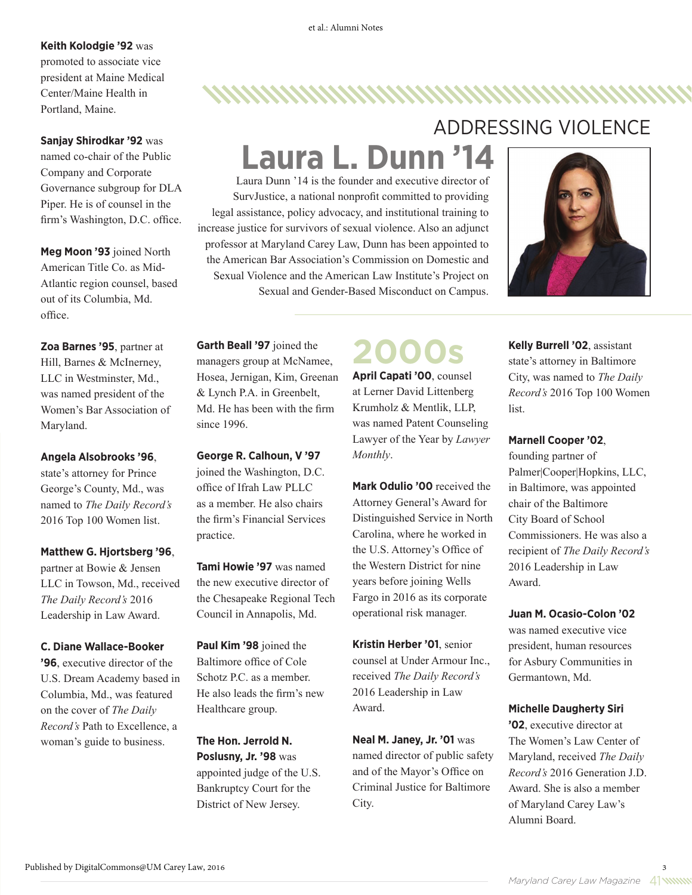### **Keith Kolodgie '92** was

promoted to associate vice president at Maine Medical Center/Maine Health in Portland, Maine.

**Sanjay Shirodkar '92** was named co-chair of the Public Company and Corporate Governance subgroup for DLA Piper. He is of counsel in the firm's Washington, D.C. office.

**Meg Moon '93** joined North American Title Co. as Mid-Atlantic region counsel, based out of its Columbia, Md. office.

**Zoa Barnes '95**, partner at Hill, Barnes & McInerney, LLC in Westminster, Md., was named president of the Women's Bar Association of Maryland.

**Angela Alsobrooks '96**, state's attorney for Prince George's County, Md., was named to *The Daily Record's* 2016 Top 100 Women list.

#### **Matthew G. Hjortsberg '96**,

partner at Bowie & Jensen LLC in Towson, Md., received *The Daily Record's* 2016 Leadership in Law Award.

#### **C. Diane Wallace-Booker**

**'96**, executive director of the U.S. Dream Academy based in Columbia, Md., was featured on the cover of *The Daily Record's* Path to Excellence, a woman's guide to business.

### ADDRESSING VIOLENCE

,,,,,,,,,,,,,,,,,,,,,,,,,,,,,,,,,,

## **Laura L. Dunn '14**

Laura Dunn '14 is the founder and executive director of SurvJustice, a national nonprofit committed to providing legal assistance, policy advocacy, and institutional training to increase justice for survivors of sexual violence. Also an adjunct professor at Maryland Carey Law, Dunn has been appointed to the American Bar Association's Commission on Domestic and Sexual Violence and the American Law Institute's Project on Sexual and Gender-Based Misconduct on Campus.



**Garth Beall '97** joined the managers group at McNamee, Hosea, Jernigan, Kim, Greenan & Lynch P.A. in Greenbelt, Md. He has been with the firm since 1996.

**George R. Calhoun, V '97**  joined the Washington, D.C. office of Ifrah Law PLLC as a member. He also chairs the firm's Financial Services practice.

**Tami Howie '97** was named the new executive director of the Chesapeake Regional Tech Council in Annapolis, Md.

**Paul Kim '98** joined the Baltimore office of Cole Schotz P.C. as a member. He also leads the firm's new Healthcare group.

**The Hon. Jerrold N. Poslusny, Jr. '98** was appointed judge of the U.S. Bankruptcy Court for the District of New Jersey.

### **2000s**

**April Capati '00**, counsel at Lerner David Littenberg Krumholz & Mentlik, LLP, was named Patent Counseling Lawyer of the Year by *Lawyer Monthly*.

**Mark Odulio '00** received the Attorney General's Award for Distinguished Service in North Carolina, where he worked in the U.S. Attorney's Office of the Western District for nine years before joining Wells Fargo in 2016 as its corporate operational risk manager.

**Kristin Herber '01**, senior counsel at Under Armour Inc., received *The Daily Record's*  2016 Leadership in Law Award.

**Neal M. Janey, Jr. '01** was named director of public safety and of the Mayor's Office on Criminal Justice for Baltimore City.

**Kelly Burrell '02**, assistant state's attorney in Baltimore City, was named to *The Daily Record's* 2016 Top 100 Women list.

#### **Marnell Cooper '02**,

founding partner of Palmer|Cooper|Hopkins, LLC, in Baltimore, was appointed chair of the Baltimore City Board of School Commissioners. He was also a recipient of *The Daily Record's* 2016 Leadership in Law Award.

#### **Juan M. Ocasio-Colon '02**

was named executive vice president, human resources for Asbury Communities in Germantown, Md.

#### **Michelle Daugherty Siri**

**'02**, executive director at The Women's Law Center of Maryland, received *The Daily Record's* 2016 Generation J.D. Award. She is also a member of Maryland Carey Law's Alumni Board.

*Maryland Carey Law Magazine* 41

3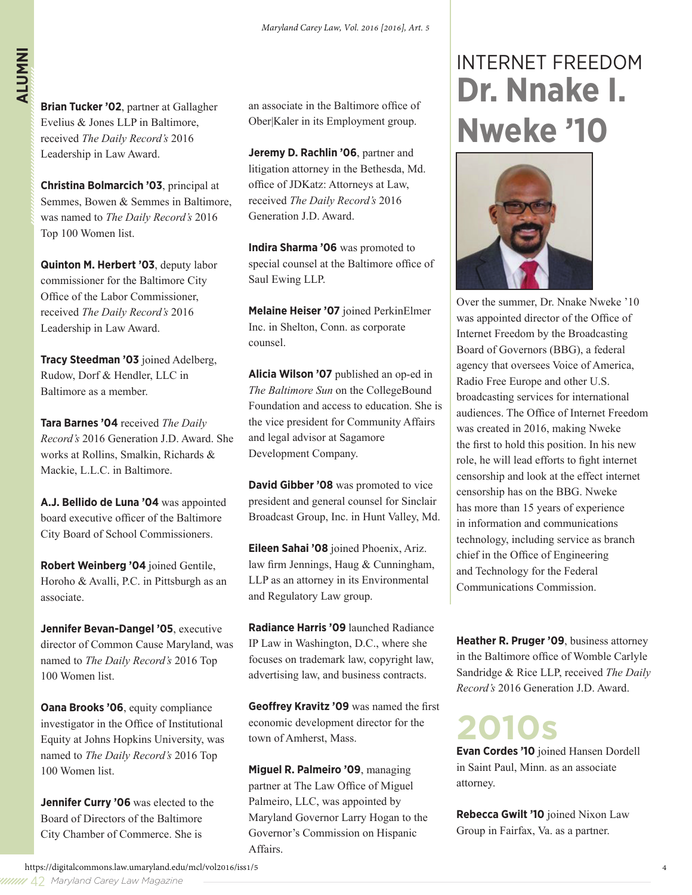**Brian Tucker '02**, partner at Gallagher Evelius & Jones LLP in Baltimore, received *The Daily Record's* 2016 Leadership in Law Award.

**Christina Bolmarcich '03**, principal at Semmes, Bowen & Semmes in Baltimore, was named to *The Daily Record's* 2016 Top 100 Women list.

**Quinton M. Herbert '03**, deputy labor commissioner for the Baltimore City Office of the Labor Commissioner, received *The Daily Record's* 2016 Leadership in Law Award.

**Tracy Steedman '03** joined Adelberg, Rudow, Dorf & Hendler, LLC in Baltimore as a member.

**Tara Barnes '04** received *The Daily Record's* 2016 Generation J.D. Award. She works at Rollins, Smalkin, Richards & Mackie, L.L.C. in Baltimore.

**A.J. Bellido de Luna '04** was appointed board executive officer of the Baltimore City Board of School Commissioners.

**Robert Weinberg '04** joined Gentile, Horoho & Avalli, P.C. in Pittsburgh as an associate.

**Jennifer Bevan-Dangel '05**, executive director of Common Cause Maryland, was named to *The Daily Record's* 2016 Top 100 Women list.

**Oana Brooks '06**, equity compliance investigator in the Office of Institutional Equity at Johns Hopkins University, was named to *The Daily Record's* 2016 Top 100 Women list.

**Jennifer Curry '06** was elected to the Board of Directors of the Baltimore City Chamber of Commerce. She is

an associate in the Baltimore office of Ober|Kaler in its Employment group.

**Jeremy D. Rachlin '06**, partner and litigation attorney in the Bethesda, Md. office of JDKatz: Attorneys at Law, received *The Daily Record's* 2016 Generation J.D. Award.

**Indira Sharma '06** was promoted to special counsel at the Baltimore office of Saul Ewing LLP.

**Melaine Heiser '07** joined PerkinElmer Inc. in Shelton, Conn. as corporate counsel.

**Alicia Wilson '07** published an op-ed in *The Baltimore Sun* on the CollegeBound Foundation and access to education. She is the vice president for Community Affairs and legal advisor at Sagamore Development Company.

**David Gibber '08** was promoted to vice president and general counsel for Sinclair Broadcast Group, Inc. in Hunt Valley, Md.

**Eileen Sahai '08** joined Phoenix, Ariz. law firm Jennings, Haug & Cunningham, LLP as an attorney in its Environmental and Regulatory Law group.

**Radiance Harris '09** launched Radiance IP Law in Washington, D.C., where she focuses on trademark law, copyright law, advertising law, and business contracts.

**Geoffrey Kravitz '09** was named the first economic development director for the town of Amherst, Mass.

**Miguel R. Palmeiro '09**, managing partner at The Law Office of Miguel Palmeiro, LLC, was appointed by Maryland Governor Larry Hogan to the Governor's Commission on Hispanic Affairs.

### INTERNET FREEDOM **Dr. Nnake I. Nweke '10**



Over the summer, Dr. Nnake Nweke '10 was appointed director of the Office of Internet Freedom by the Broadcasting Board of Governors (BBG), a federal agency that oversees Voice of America, Radio Free Europe and other U.S. broadcasting services for international audiences. The Office of Internet Freedom was created in 2016, making Nweke the first to hold this position. In his new role, he will lead efforts to fight internet censorship and look at the effect internet censorship has on the BBG. Nweke has more than 15 years of experience in information and communications technology, including service as branch chief in the Office of Engineering and Technology for the Federal Communications Commission.

**Heather R. Pruger '09**, business attorney in the Baltimore office of Womble Carlyle Sandridge & Rice LLP, received *The Daily Record's* 2016 Generation J.D. Award.

**2010s**

**Evan Cordes '10** joined Hansen Dordell in Saint Paul, Minn. as an associate attorney.

**Rebecca Gwilt '10** joined Nixon Law Group in Fairfax, Va. as a partner.